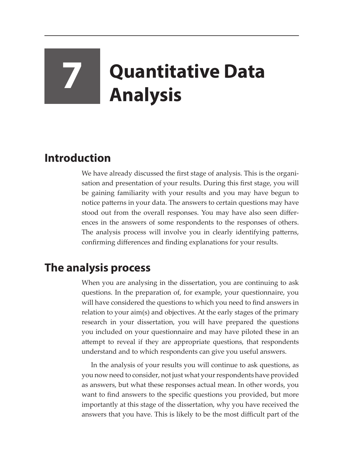# **7 Quantitative Data Analysis**

## **Introduction**

We have already discussed the first stage of analysis. This is the organisation and presentation of your results. During this first stage, you will be gaining familiarity with your results and you may have begun to notice patterns in your data. The answers to certain questions may have stood out from the overall responses. You may have also seen differences in the answers of some respondents to the responses of others. The analysis process will involve you in clearly identifying patterns, confirming differences and finding explanations for your results.

# **The analysis process**

When you are analysing in the dissertation, you are continuing to ask questions. In the preparation of, for example, your questionnaire, you will have considered the questions to which you need to find answers in relation to your aim(s) and objectives. At the early stages of the primary research in your dissertation, you will have prepared the questions you included on your questionnaire and may have piloted these in an attempt to reveal if they are appropriate questions, that respondents understand and to which respondents can give you useful answers.

In the analysis of your results you will continue to ask questions, as you now need to consider, not just what your respondents have provided as answers, but what these responses actual mean. In other words, you want to find answers to the specific questions you provided, but more importantly at this stage of the dissertation, why you have received the answers that you have. This is likely to be the most difficult part of the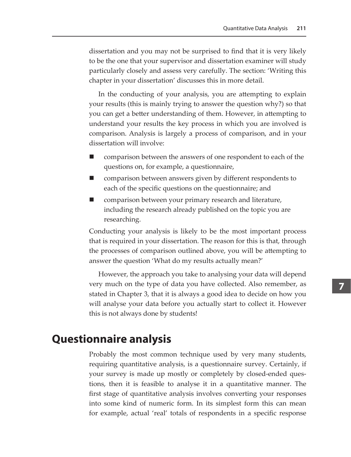dissertation and you may not be surprised to find that it is very likely to be the one that your supervisor and dissertation examiner will study particularly closely and assess very carefully. The section: 'Writing this chapter in your dissertation' discusses this in more detail.

In the conducting of your analysis, you are attempting to explain your results (this is mainly trying to answer the question why?) so that you can get a better understanding of them. However, in attempting to understand your results the key process in which you are involved is comparison. Analysis is largely a process of comparison, and in your dissertation will involve:

- comparison between the answers of one respondent to each of the questions on, for example, a questionnaire,
- comparison between answers given by different respondents to each of the specific questions on the questionnaire; and
- comparison between your primary research and literature, including the research already published on the topic you are researching.

Conducting your analysis is likely to be the most important process that is required in your dissertation. The reason for this is that, through the processes of comparison outlined above, you will be attempting to answer the question 'What do my results actually mean?'

However, the approach you take to analysing your data will depend very much on the type of data you have collected. Also remember, as stated in Chapter 3, that it is always a good idea to decide on how you will analyse your data before you actually start to collect it. However this is not always done by students!

## **Questionnaire analysis**

Probably the most common technique used by very many students, requiring quantitative analysis, is a questionnaire survey. Certainly, if your survey is made up mostly or completely by closed-ended questions, then it is feasible to analyse it in a quantitative manner. The first stage of quantitative analysis involves converting your responses into some kind of numeric form. In its simplest form this can mean for example, actual 'real' totals of respondents in a specific response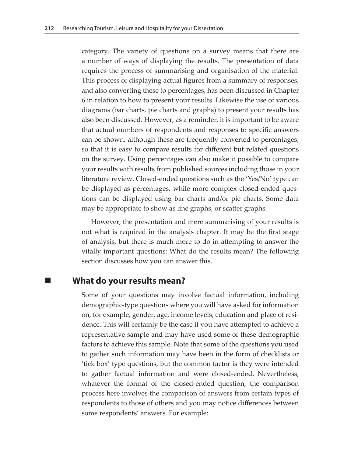category. The variety of questions on a survey means that there are a number of ways of displaying the results. The presentation of data requires the process of summarising and organisation of the material. This process of displaying actual figures from a summary of responses, and also converting these to percentages, has been discussed in Chapter 6 in relation to how to present your results. Likewise the use of various diagrams (bar charts, pie charts and graphs) to present your results has also been discussed. However, as a reminder, it is important to be aware that actual numbers of respondents and responses to specific answers can be shown, although these are frequently converted to percentages, so that it is easy to compare results for different but related questions on the survey. Using percentages can also make it possible to compare your results with results from published sources including those in your literature review. Closed-ended questions such as the 'Yes/No' type can be displayed as percentages, while more complex closed-ended questions can be displayed using bar charts and/or pie charts. Some data may be appropriate to show as line graphs, or scatter graphs.

However, the presentation and mere summarising of your results is not what is required in the analysis chapter. It may be the first stage of analysis, but there is much more to do in attempting to answer the vitally important questions: What do the results mean? The following section discusses how you can answer this.

#### **What do your results mean?**

Some of your questions may involve factual information, including demographic-type questions where you will have asked for information on, for example, gender, age, income levels, education and place of residence. This will certainly be the case if you have attempted to achieve a representative sample and may have used some of these demographic factors to achieve this sample. Note that some of the questions you used to gather such information may have been in the form of checklists or 'tick box' type questions, but the common factor is they were intended to gather factual information and were closed-ended. Nevertheless, whatever the format of the closed-ended question, the comparison process here involves the comparison of answers from certain types of respondents to those of others and you may notice differences between some respondents' answers. For example: